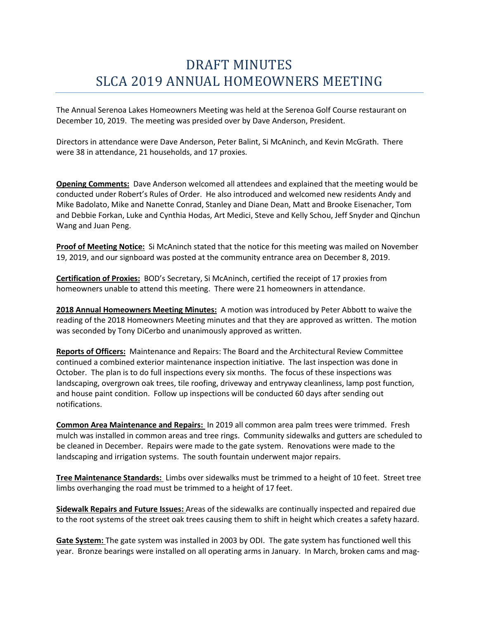## DRAFT MINUTES SLCA 2019 ANNUAL HOMEOWNERS MEETING

The Annual Serenoa Lakes Homeowners Meeting was held at the Serenoa Golf Course restaurant on December 10, 2019. The meeting was presided over by Dave Anderson, President.

Directors in attendance were Dave Anderson, Peter Balint, Si McAninch, and Kevin McGrath. There were 38 in attendance, 21 households, and 17 proxies.

**Opening Comments:** Dave Anderson welcomed all attendees and explained that the meeting would be conducted under Robert's Rules of Order. He also introduced and welcomed new residents Andy and Mike Badolato, Mike and Nanette Conrad, Stanley and Diane Dean, Matt and Brooke Eisenacher, Tom and Debbie Forkan, Luke and Cynthia Hodas, Art Medici, Steve and Kelly Schou, Jeff Snyder and Qinchun Wang and Juan Peng.

**Proof of Meeting Notice:** Si McAninch stated that the notice for this meeting was mailed on November 19, 2019, and our signboard was posted at the community entrance area on December 8, 2019.

**Certification of Proxies:** BOD's Secretary, Si McAninch, certified the receipt of 17 proxies from homeowners unable to attend this meeting. There were 21 homeowners in attendance.

**2018 Annual Homeowners Meeting Minutes:** A motion was introduced by Peter Abbott to waive the reading of the 2018 Homeowners Meeting minutes and that they are approved as written. The motion was seconded by Tony DiCerbo and unanimously approved as written.

**Reports of Officers:** Maintenance and Repairs: The Board and the Architectural Review Committee continued a combined exterior maintenance inspection initiative. The last inspection was done in October. The plan is to do full inspections every six months. The focus of these inspections was landscaping, overgrown oak trees, tile roofing, driveway and entryway cleanliness, lamp post function, and house paint condition. Follow up inspections will be conducted 60 days after sending out notifications.

**Common Area Maintenance and Repairs:** In 2019 all common area palm trees were trimmed. Fresh mulch was installed in common areas and tree rings. Community sidewalks and gutters are scheduled to be cleaned in December. Repairs were made to the gate system. Renovations were made to the landscaping and irrigation systems. The south fountain underwent major repairs.

**Tree Maintenance Standards:** Limbs over sidewalks must be trimmed to a height of 10 feet. Street tree limbs overhanging the road must be trimmed to a height of 17 feet.

**Sidewalk Repairs and Future Issues:** Areas of the sidewalks are continually inspected and repaired due to the root systems of the street oak trees causing them to shift in height which creates a safety hazard.

**Gate System:** The gate system was installed in 2003 by ODI. The gate system has functioned well this year. Bronze bearings were installed on all operating arms in January. In March, broken cams and mag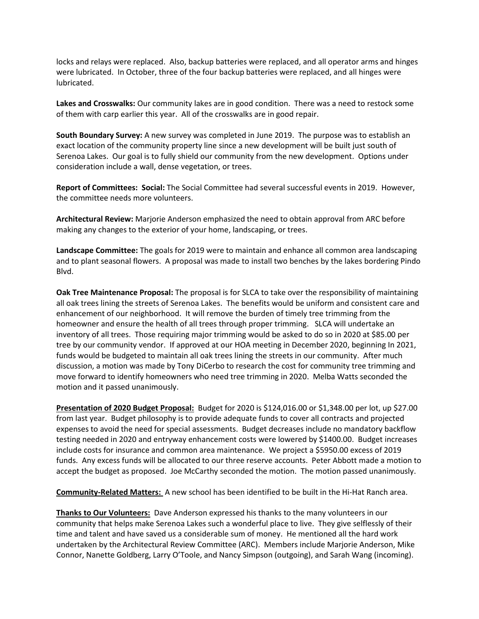locks and relays were replaced. Also, backup batteries were replaced, and all operator arms and hinges were lubricated. In October, three of the four backup batteries were replaced, and all hinges were lubricated.

**Lakes and Crosswalks:** Our community lakes are in good condition. There was a need to restock some of them with carp earlier this year. All of the crosswalks are in good repair.

**South Boundary Survey:** A new survey was completed in June 2019. The purpose was to establish an exact location of the community property line since a new development will be built just south of Serenoa Lakes. Our goal is to fully shield our community from the new development. Options under consideration include a wall, dense vegetation, or trees.

**Report of Committees: Social:** The Social Committee had several successful events in 2019. However, the committee needs more volunteers.

**Architectural Review:** Marjorie Anderson emphasized the need to obtain approval from ARC before making any changes to the exterior of your home, landscaping, or trees.

**Landscape Committee:** The goals for 2019 were to maintain and enhance all common area landscaping and to plant seasonal flowers. A proposal was made to install two benches by the lakes bordering Pindo Blvd.

**Oak Tree Maintenance Proposal:** The proposal is for SLCA to take over the responsibility of maintaining all oak trees lining the streets of Serenoa Lakes. The benefits would be uniform and consistent care and enhancement of our neighborhood. It will remove the burden of timely tree trimming from the homeowner and ensure the health of all trees through proper trimming. SLCA will undertake an inventory of all trees. Those requiring major trimming would be asked to do so in 2020 at \$85.00 per tree by our community vendor. If approved at our HOA meeting in December 2020, beginning In 2021, funds would be budgeted to maintain all oak trees lining the streets in our community. After much discussion, a motion was made by Tony DiCerbo to research the cost for community tree trimming and move forward to identify homeowners who need tree trimming in 2020. Melba Watts seconded the motion and it passed unanimously.

**Presentation of 2020 Budget Proposal:** Budget for 2020 is \$124,016.00 or \$1,348.00 per lot, up \$27.00 from last year. Budget philosophy is to provide adequate funds to cover all contracts and projected expenses to avoid the need for special assessments. Budget decreases include no mandatory backflow testing needed in 2020 and entryway enhancement costs were lowered by \$1400.00. Budget increases include costs for insurance and common area maintenance. We project a \$5950.00 excess of 2019 funds. Any excess funds will be allocated to our three reserve accounts. Peter Abbott made a motion to accept the budget as proposed. Joe McCarthy seconded the motion. The motion passed unanimously.

**Community-Related Matters:** A new school has been identified to be built in the Hi-Hat Ranch area.

**Thanks to Our Volunteers:** Dave Anderson expressed his thanks to the many volunteers in our community that helps make Serenoa Lakes such a wonderful place to live. They give selflessly of their time and talent and have saved us a considerable sum of money. He mentioned all the hard work undertaken by the Architectural Review Committee (ARC). Members include Marjorie Anderson, Mike Connor, Nanette Goldberg, Larry O'Toole, and Nancy Simpson (outgoing), and Sarah Wang (incoming).